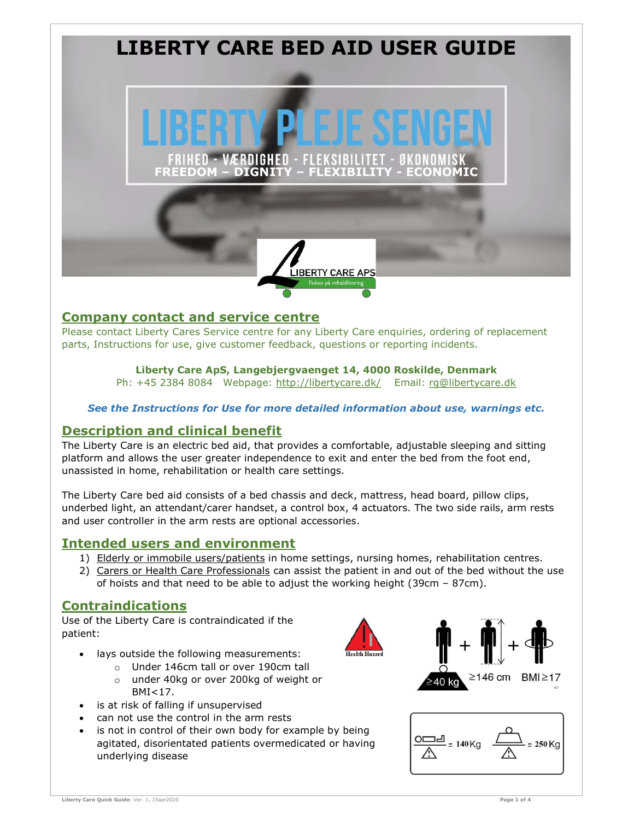

#### Company contact and service centre

Please contact Liberty Cares Service centre for any Liberty Care enquiries, ordering of replacement parts, Instructions for use, give customer feedback, questions or reporting incidents.

## Liberty Care ApS, Langebjergvaenget 14, 4000 Roskilde, Denmark

Ph: +45 2384 8084 Webpage: http://libertycare.dk/ Email: rg@libertycare.dk

#### See the Instructions for Use for more detailed information about use, warnings etc.

#### Description and clinical benefit

The Liberty Care is an electric bed aid, that provides a comfortable, adjustable sleeping and sitting platform and allows the user greater independence to exit and enter the bed from the foot end, unassisted in home, rehabilitation or health care settings.

The Liberty Care bed aid consists of a bed chassis and deck, mattress, head board, pillow clips, underbed light, an attendant/carer handset, a control box, 4 actuators. The two side rails, arm rests and user controller in the arm rests are optional accessories.

#### Intended users and environment

- 1) Elderly or immobile users/patients in home settings, nursing homes, rehabilitation centres.
- 2) Carers or Health Care Professionals can assist the patient in and out of the bed without the use of hoists and that need to be able to adjust the working height (39cm – 87cm).

### **Contraindications**

Use of the Liberty Care is contraindicated if the patient:

- lays outside the following measurements:
	- o Under 146cm tall or over 190cm tall
	- o under 40kg or over 200kg of weight or BMI<17.
- is at risk of falling if unsupervised
- can not use the control in the arm rests
- is not in control of their own body for example by being agitated, disorientated patients overmedicated or having underlying disease





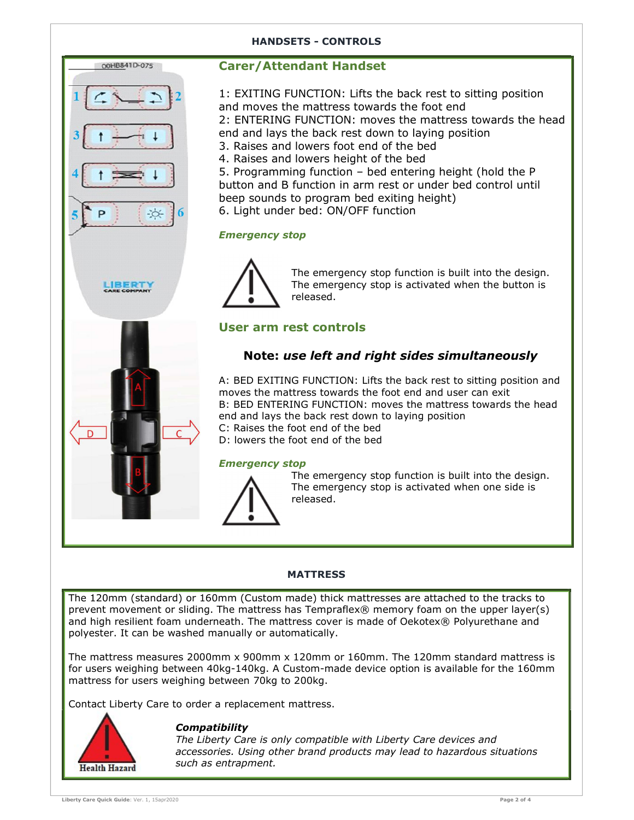#### HANDSETS - CONTROLS



#### Carer/Attendant Handset

1: EXITING FUNCTION: Lifts the back rest to sitting position and moves the mattress towards the foot end 2: ENTERING FUNCTION: moves the mattress towards the head end and lays the back rest down to laying position 3. Raises and lowers foot end of the bed 4. Raises and lowers height of the bed

- 5. Programming function bed entering height (hold the P button and B function in arm rest or under bed control until beep sounds to program bed exiting height)
- 6. Light under bed: ON/OFF function

#### Emergency stop



The emergency stop function is built into the design. The emergency stop is activated when the button is released.

# User arm rest controls<br>Note: use left and right sides simultaneously

A: BED EXITING FUNCTION: Lifts the back rest to sitting position and moves the mattress towards the foot end and user can exit B: BED ENTERING FUNCTION: moves the mattress towards the head end and lays the back rest down to laying position C: Raises the foot end of the bed

D: lowers the foot end of the bed

#### Emergency stop



The emergency stop function is built into the design. The emergency stop is activated when one side is released.

#### **MATTRESS**

The 120mm (standard) or 160mm (Custom made) thick mattresses are attached to the tracks to prevent movement or sliding. The mattress has Tempraflex® memory foam on the upper layer(s) and high resilient foam underneath. The mattress cover is made of Oekotex® Polyurethane and polyester. It can be washed manually or automatically.

The mattress measures 2000mm x 900mm x 120mm or 160mm. The 120mm standard mattress is for users weighing between 40kg-140kg. A Custom-made device option is available for the 160mm mattress for users weighing between 70kg to 200kg.

Contact Liberty Care to order a replacement mattress.



#### **Compatibility**

The Liberty Care is only compatible with Liberty Care devices and accessories. Using other brand products may lead to hazardous situations such as entrapment.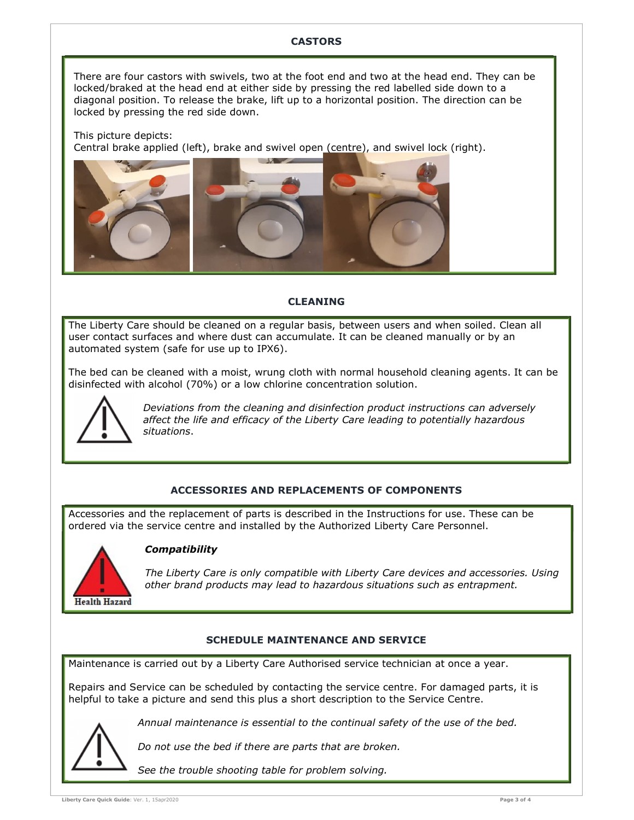#### **CASTORS**

There are four castors with swivels, two at the foot end and two at the head end. They can be locked/braked at the head end at either side by pressing the red labelled side down to a diagonal position. To release the brake, lift up to a horizontal position. The direction can be locked by pressing the red side down.

This picture depicts: Central brake applied (left), brake and swivel open (centre), and swivel lock (right).



#### CLEANING

The Liberty Care should be cleaned on a regular basis, between users and when soiled. Clean all user contact surfaces and where dust can accumulate. It can be cleaned manually or by an automated system (safe for use up to IPX6).

The bed can be cleaned with a moist, wrung cloth with normal household cleaning agents. It can be disinfected with alcohol (70%) or a low chlorine concentration solution.



Deviations from the cleaning and disinfection product instructions can adversely affect the life and efficacy of the Liberty Care leading to potentially hazardous situations.

#### ACCESSORIES AND REPLACEMENTS OF COMPONENTS

Accessories and the replacement of parts is described in the Instructions for use. These can be ordered via the service centre and installed by the Authorized Liberty Care Personnel.



#### **Compatibility**

The Liberty Care is only compatible with Liberty Care devices and accessories. Using other brand products may lead to hazardous situations such as entrapment.

#### SCHEDULE MAINTENANCE AND SERVICE

Maintenance is carried out by a Liberty Care Authorised service technician at once a year.

Repairs and Service can be scheduled by contacting the service centre. For damaged parts, it is helpful to take a picture and send this plus a short description to the Service Centre.



Annual maintenance is essential to the continual safety of the use of the bed.

Do not use the bed if there are parts that are broken.

See the trouble shooting table for problem solving.